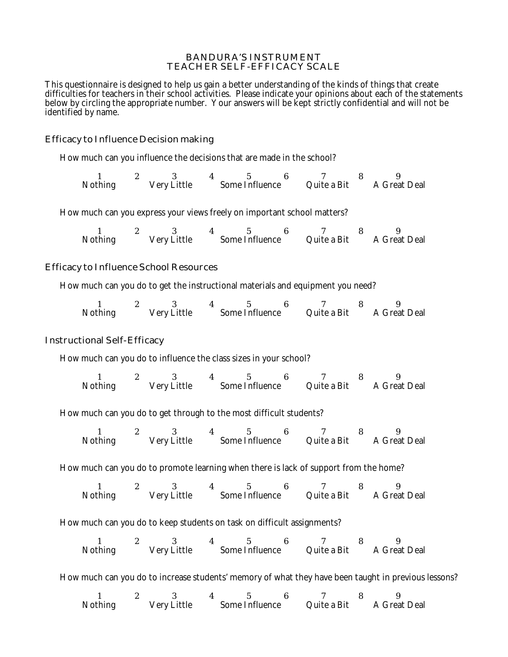## BANDURA'S INSTRUMENT TEACHER SELF-EFFICACY SCALE

This questionnaire is designed to help us gain a better understanding of the kinds of things that create difficulties for teachers in their school activities. Please indicate your opinions about each of the statements below by circling the appropriate number. Your answers will be kept strictly confidential and will not be identified by name.

# Efficacy to Influence Decision making

How much can you influence the decisions that are made in the school?

| <b>Nothing</b> | <b>Very Little</b> | <b>Some Influence</b> | Quite a Bit | <b>A Great Deal</b> |
|----------------|--------------------|-----------------------|-------------|---------------------|

How much can you express your views freely on important school matters?

| <b>Nothing</b> | <b>Very Little</b> | <b>Some Influence</b> | Quite a Bit | <b>A Great Deal</b> |
|----------------|--------------------|-----------------------|-------------|---------------------|

## Efficacy to Influence School Resources

How much can you do to get the instructional materials and equipment you need?

| <b>Nothing</b> | Very Little | <b>Some Influence</b> | Quite a Bit | <b>A Great Deal</b> |
|----------------|-------------|-----------------------|-------------|---------------------|

## Instructional Self-Efficacy

How much can you do to influence the class sizes in your school?

1 2 3 4 5 6 7 8 9 Nothing Very Little Some Influence Quite a Bit A Great Deal

How much can you do to get through to the most difficult students?

1 2 3 4 5 6 7 8 9 Nothing Very Little Some Influence Quite a Bit A Great Deal

How much can you do to promote learning when there is lack of support from the home?

1 2 3 4 5 6 7 8 9 Nothing Very Little Some Influence Quite a Bit A Great Deal

How much can you do to keep students on task on difficult assignments?

1 2 3 4 5 6 7 8 9 Nothing Very Little Some Influence Quite a Bit A Great Deal

How much can you do to increase students' memory of what they have been taught in previous lessons?

1 2 3 4 5 6 7 8 9 Nothing Very Little Some Influence Quite a Bit A Great Deal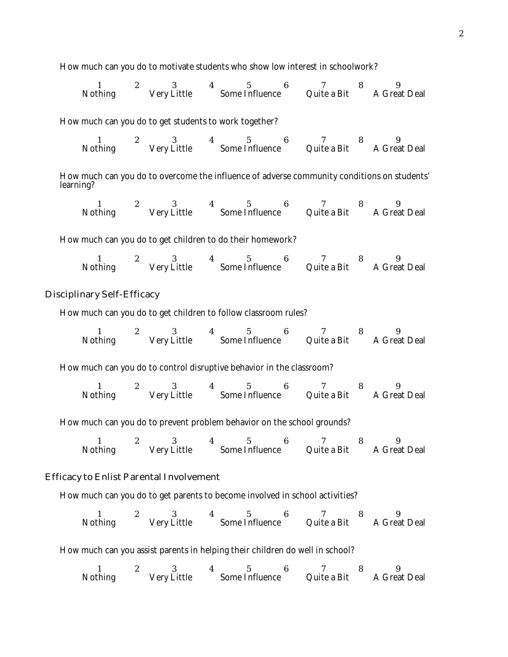How much can you do to motivate students who show low interest in schoolwork?

1 2 3 4 5 6 7 8 9 Nothing Very Little Some Influence Quite a Bit A Great Deal

How much can you do to get students to work together?

1 2 3 4 5 6 7 8 9 Nothing Very Little Some Influence Quite a Bit A Great Deal

How much can you do to overcome the influence of adverse community conditions on students' learning?

1 2 3 4 5 6 7 8 9 Nothing Very Little Some Influence Quite a Bit A Great Deal

How much can you do to get children to do their homework?

1 2 3 4 5 6 7 8 9 Nothing Very Little Some Influence Quite a Bit A Great Deal

## Disciplinary Self-Efficacy

How much can you do to get children to follow classroom rules?

1 2 3 4 5 6 7 8 9 Nothing Very Little Some Influence Quite a Bit A Great Deal

How much can you do to control disruptive behavior in the classroom?

1 2 3 4 5 6 7 8 9 Nothing Very Little Some Influence Quite a Bit A Great Deal

How much can you do to prevent problem behavior on the school grounds?

1 2 3 4 5 6 7 8 9 Nothing Very Little Some Influence Quite a Bit A Great Deal

## Efficacy to Enlist Parental Involvement

How much can you do to get parents to become involved in school activities?

1 2 3 4 5 6 7 8 9 Nothing Very Little Some Influence Quite a Bit A Great Deal

How much can you assist parents in helping their children do well in school?

1 2 3 4 5 6 7 8 9 Nothing Very Little Some Influence Quite a Bit A Great Deal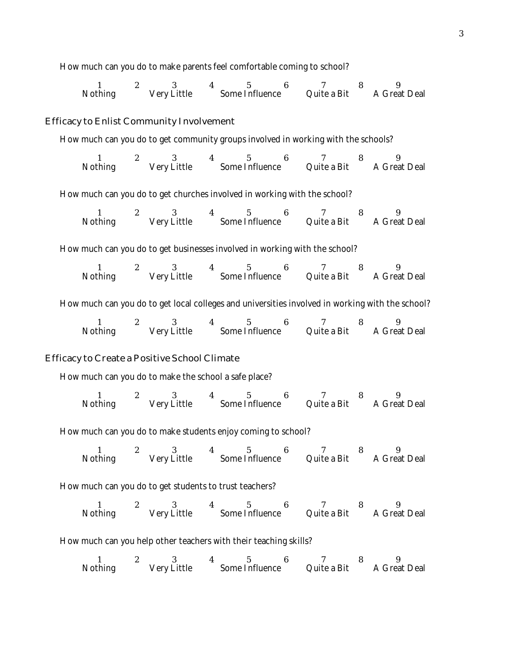How much can you do to make parents feel comfortable coming to school?

1 2 3 4 5 6 7 8 9 Nothing Very Little Some Influence Quite a Bit A Great Deal

## Efficacy to Enlist Community Involvement

How much can you do to get community groups involved in working with the schools?

1 2 3 4 5 6 7 8 9 Nothing Very Little Some Influence Quite a Bit A Great Deal

How much can you do to get churches involved in working with the school?

1 2 3 4 5 6 7 8 9 Nothing Very Little Some Influence Quite a Bit A Great Deal

How much can you do to get businesses involved in working with the school?

1 2 3 4 5 6 7 8 9 Nothing Very Little Some Influence Quite a Bit A Great Deal

How much can you do to get local colleges and universities involved in working with the school?

| <b>Nothing</b> | <b>Very Little</b> | <b>Some Influence</b> | Quite a Bit | <b>A Great Deal</b> |
|----------------|--------------------|-----------------------|-------------|---------------------|

#### Efficacy to Create a Positive School Climate

How much can you do to make the school a safe place?

1 2 3 4 5 6 7 8 9 Nothing Very Little Some Influence Quite a Bit A Great Deal

How much can you do to make students enjoy coming to school?

| <b>Nothing</b> | <b>Very Little</b> | <b>Some Influence</b> | Quite a Bit | <b>A Great Deal</b> |
|----------------|--------------------|-----------------------|-------------|---------------------|

How much can you do to get students to trust teachers?

| Nothing | Very Little | <b>Some Influence</b> | Quite a Bit | <b>A Great Deal</b> |
|---------|-------------|-----------------------|-------------|---------------------|

How much can you help other teachers with their teaching skills?

| Nothing | <b>Very Little</b> | <b>Some Influence</b> | Quite a Bit | A Great Deal |
|---------|--------------------|-----------------------|-------------|--------------|